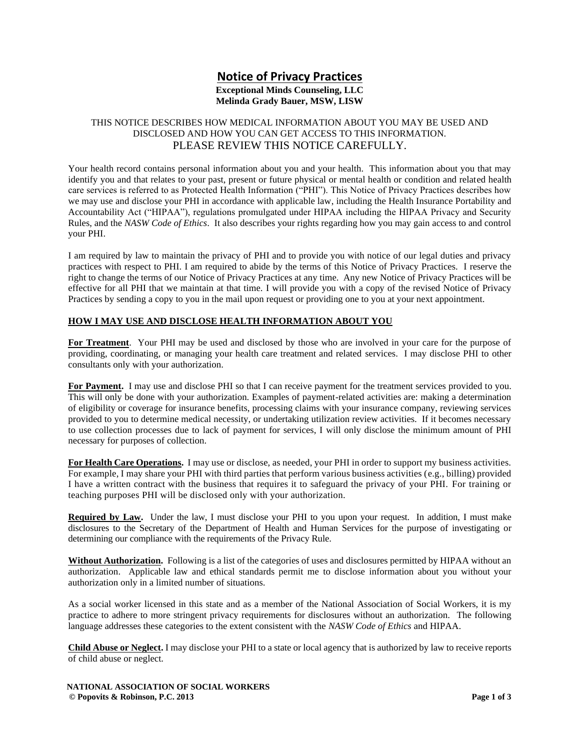# **Notice of Privacy Practices Exceptional Minds Counseling, LLC**

## **Melinda Grady Bauer, MSW, LISW**

### THIS NOTICE DESCRIBES HOW MEDICAL INFORMATION ABOUT YOU MAY BE USED AND DISCLOSED AND HOW YOU CAN GET ACCESS TO THIS INFORMATION. PLEASE REVIEW THIS NOTICE CAREFULLY.

Your health record contains personal information about you and your health. This information about you that may identify you and that relates to your past, present or future physical or mental health or condition and related health care services is referred to as Protected Health Information ("PHI"). This Notice of Privacy Practices describes how we may use and disclose your PHI in accordance with applicable law, including the Health Insurance Portability and Accountability Act ("HIPAA"), regulations promulgated under HIPAA including the HIPAA Privacy and Security Rules, and the *NASW Code of Ethics*. It also describes your rights regarding how you may gain access to and control your PHI.

I am required by law to maintain the privacy of PHI and to provide you with notice of our legal duties and privacy practices with respect to PHI. I am required to abide by the terms of this Notice of Privacy Practices. I reserve the right to change the terms of our Notice of Privacy Practices at any time. Any new Notice of Privacy Practices will be effective for all PHI that we maintain at that time. I will provide you with a copy of the revised Notice of Privacy Practices by sending a copy to you in the mail upon request or providing one to you at your next appointment.

### **HOW I MAY USE AND DISCLOSE HEALTH INFORMATION ABOUT YOU**

**For Treatment**.Your PHI may be used and disclosed by those who are involved in your care for the purpose of providing, coordinating, or managing your health care treatment and related services. I may disclose PHI to other consultants only with your authorization.

For Payment. I may use and disclose PHI so that I can receive payment for the treatment services provided to you. This will only be done with your authorization. Examples of payment-related activities are: making a determination of eligibility or coverage for insurance benefits, processing claims with your insurance company, reviewing services provided to you to determine medical necessity, or undertaking utilization review activities. If it becomes necessary to use collection processes due to lack of payment for services, I will only disclose the minimum amount of PHI necessary for purposes of collection.

**For Health Care Operations.** I may use or disclose, as needed, your PHI in order to support my business activities. For example, I may share your PHI with third parties that perform various business activities (e.g., billing) provided I have a written contract with the business that requires it to safeguard the privacy of your PHI. For training or teaching purposes PHI will be disclosed only with your authorization.

**Required by Law.** Under the law, I must disclose your PHI to you upon your request. In addition, I must make disclosures to the Secretary of the Department of Health and Human Services for the purpose of investigating or determining our compliance with the requirements of the Privacy Rule.

**Without Authorization.** Following is a list of the categories of uses and disclosures permitted by HIPAA without an authorization. Applicable law and ethical standards permit me to disclose information about you without your authorization only in a limited number of situations.

As a social worker licensed in this state and as a member of the National Association of Social Workers, it is my practice to adhere to more stringent privacy requirements for disclosures without an authorization.The following language addresses these categories to the extent consistent with the *NASW Code of Ethics* and HIPAA.

**Child Abuse or Neglect.** I may disclose your PHI to a state or local agency that is authorized by law to receive reports of child abuse or neglect.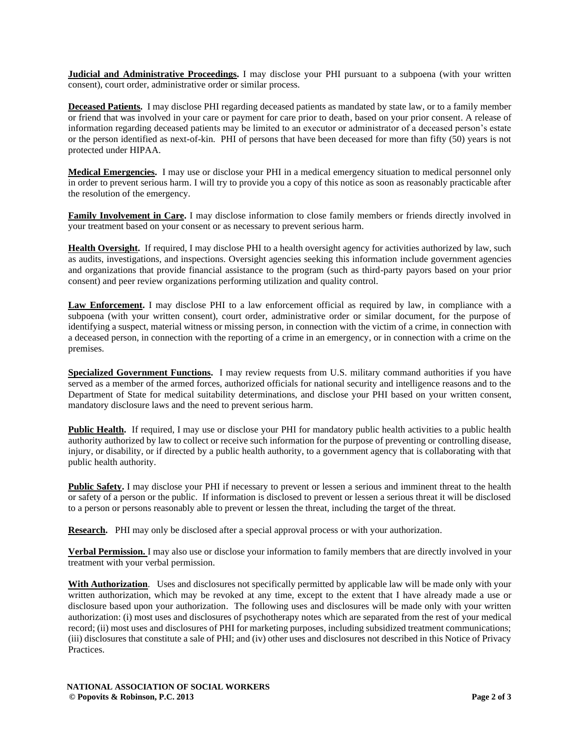**Judicial and Administrative Proceedings.** I may disclose your PHI pursuant to a subpoena (with your written consent), court order, administrative order or similar process.

**Deceased Patients.** I may disclose PHI regarding deceased patients as mandated by state law, or to a family member or friend that was involved in your care or payment for care prior to death, based on your prior consent. A release of information regarding deceased patients may be limited to an executor or administrator of a deceased person's estate or the person identified as next-of-kin. PHI of persons that have been deceased for more than fifty (50) years is not protected under HIPAA.

**Medical Emergencies.** I may use or disclose your PHI in a medical emergency situation to medical personnel only in order to prevent serious harm. I will try to provide you a copy of this notice as soon as reasonably practicable after the resolution of the emergency.

**Family Involvement in Care.** I may disclose information to close family members or friends directly involved in your treatment based on your consent or as necessary to prevent serious harm.

**Health Oversight.** If required, I may disclose PHI to a health oversight agency for activities authorized by law, such as audits, investigations, and inspections. Oversight agencies seeking this information include government agencies and organizations that provide financial assistance to the program (such as third-party payors based on your prior consent) and peer review organizations performing utilization and quality control.

**Law Enforcement.** I may disclose PHI to a law enforcement official as required by law, in compliance with a subpoena (with your written consent), court order, administrative order or similar document, for the purpose of identifying a suspect, material witness or missing person, in connection with the victim of a crime, in connection with a deceased person, in connection with the reporting of a crime in an emergency, or in connection with a crime on the premises.

**Specialized Government Functions.** I may review requests from U.S. military command authorities if you have served as a member of the armed forces, authorized officials for national security and intelligence reasons and to the Department of State for medical suitability determinations, and disclose your PHI based on your written consent, mandatory disclosure laws and the need to prevent serious harm.

**Public Health.** If required, I may use or disclose your PHI for mandatory public health activities to a public health authority authorized by law to collect or receive such information for the purpose of preventing or controlling disease, injury, or disability, or if directed by a public health authority, to a government agency that is collaborating with that public health authority.

**Public Safety.** I may disclose your PHI if necessary to prevent or lessen a serious and imminent threat to the health or safety of a person or the public. If information is disclosed to prevent or lessen a serious threat it will be disclosed to a person or persons reasonably able to prevent or lessen the threat, including the target of the threat.

**Research.** PHI may only be disclosed after a special approval process or with your authorization.

**Verbal Permission.** I may also use or disclose your information to family members that are directly involved in your treatment with your verbal permission.

With Authorization. Uses and disclosures not specifically permitted by applicable law will be made only with your written authorization, which may be revoked at any time, except to the extent that I have already made a use or disclosure based upon your authorization. The following uses and disclosures will be made only with your written authorization: (i) most uses and disclosures of psychotherapy notes which are separated from the rest of your medical record; (ii) most uses and disclosures of PHI for marketing purposes, including subsidized treatment communications; (iii) disclosures that constitute a sale of PHI; and (iv) other uses and disclosures not described in this Notice of Privacy Practices.